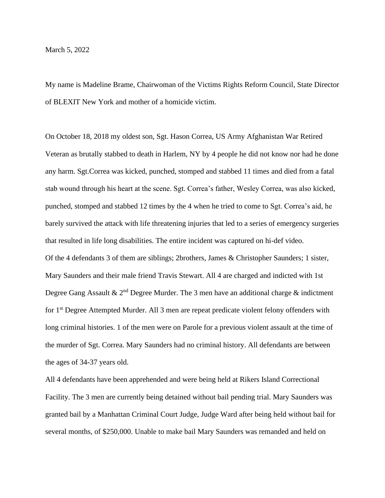March 5, 2022

My name is Madeline Brame, Chairwoman of the Victims Rights Reform Council, State Director of BLEXIT New York and mother of a homicide victim.

On October 18, 2018 my oldest son, Sgt. Hason Correa, US Army Afghanistan War Retired Veteran as brutally stabbed to death in Harlem, NY by 4 people he did not know nor had he done any harm. Sgt.Correa was kicked, punched, stomped and stabbed 11 times and died from a fatal stab wound through his heart at the scene. Sgt. Correa's father, Wesley Correa, was also kicked, punched, stomped and stabbed 12 times by the 4 when he tried to come to Sgt. Correa's aid, he barely survived the attack with life threatening injuries that led to a series of emergency surgeries that resulted in life long disabilities. The entire incident was captured on hi-def video. Of the 4 defendants 3 of them are siblings; 2brothers, James & Christopher Saunders; 1 sister, Mary Saunders and their male friend Travis Stewart. All 4 are charged and indicted with 1st Degree Gang Assault  $\& 2<sup>nd</sup>$  Degree Murder. The 3 men have an additional charge  $\&$  indictment for 1<sup>st</sup> Degree Attempted Murder. All 3 men are repeat predicate violent felony offenders with long criminal histories. 1 of the men were on Parole for a previous violent assault at the time of the murder of Sgt. Correa. Mary Saunders had no criminal history. All defendants are between the ages of 34-37 years old.

All 4 defendants have been apprehended and were being held at Rikers Island Correctional Facility. The 3 men are currently being detained without bail pending trial. Mary Saunders was granted bail by a Manhattan Criminal Court Judge, Judge Ward after being held without bail for several months, of \$250,000. Unable to make bail Mary Saunders was remanded and held on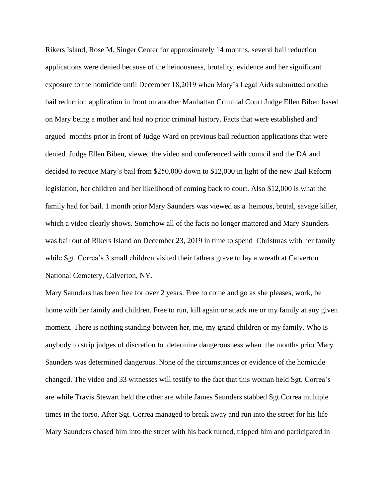Rikers Island, Rose M. Singer Center for approximately 14 months, several bail reduction applications were denied because of the heinousness, brutality, evidence and her significant exposure to the homicide until December 18,2019 when Mary's Legal Aids submitted another bail reduction application in front on another Manhattan Criminal Court Judge Ellen Biben based on Mary being a mother and had no prior criminal history. Facts that were established and argued months prior in front of Judge Ward on previous bail reduction applications that were denied. Judge Ellen Biben, viewed the video and conferenced with council and the DA and decided to reduce Mary's bail from \$250,000 down to \$12,000 in light of the new Bail Reform legislation, her children and her likelihood of coming back to court. Also \$12,000 is what the family had for bail. 1 month prior Mary Saunders was viewed as a heinous, brutal, savage killer, which a video clearly shows. Somehow all of the facts no longer mattered and Mary Saunders was bail out of Rikers Island on December 23, 2019 in time to spend Christmas with her family while Sgt. Correa's 3 small children visited their fathers grave to lay a wreath at Calverton National Cemetery, Calverton, NY.

Mary Saunders has been free for over 2 years. Free to come and go as she pleases, work, be home with her family and children. Free to run, kill again or attack me or my family at any given moment. There is nothing standing between her, me, my grand children or my family. Who is anybody to strip judges of discretion to determine dangerousness when the months prior Mary Saunders was determined dangerous. None of the circumstances or evidence of the homicide changed. The video and 33 witnesses will testify to the fact that this woman held Sgt. Correa's are while Travis Stewart held the other are while James Saunders stabbed Sgt.Correa multiple times in the torso. After Sgt. Correa managed to break away and run into the street for his life Mary Saunders chased him into the street with his back turned, tripped him and participated in